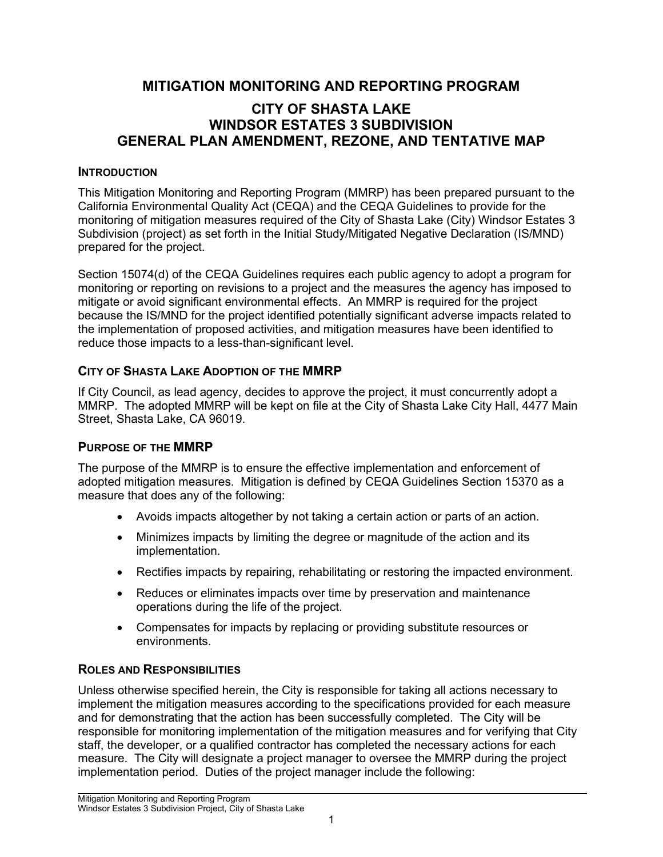# **MITIGATION MONITORING AND REPORTING PROGRAM**

## **CITY OF SHASTA LAKE WINDSOR ESTATES 3 SUBDIVISION GENERAL PLAN AMENDMENT, REZONE, AND TENTATIVE MAP**

#### **INTRODUCTION**

This Mitigation Monitoring and Reporting Program (MMRP) has been prepared pursuant to the California Environmental Quality Act (CEQA) and the CEQA Guidelines to provide for the monitoring of mitigation measures required of the City of Shasta Lake (City) Windsor Estates 3 Subdivision (project) as set forth in the Initial Study/Mitigated Negative Declaration (IS/MND) prepared for the project.

Section 15074(d) of the CEQA Guidelines requires each public agency to adopt a program for monitoring or reporting on revisions to a project and the measures the agency has imposed to mitigate or avoid significant environmental effects. An MMRP is required for the project because the IS/MND for the project identified potentially significant adverse impacts related to the implementation of proposed activities, and mitigation measures have been identified to reduce those impacts to a less-than-significant level.

### **CITY OF SHASTA LAKE ADOPTION OF THE MMRP**

If City Council, as lead agency, decides to approve the project, it must concurrently adopt a MMRP. The adopted MMRP will be kept on file at the City of Shasta Lake City Hall, 4477 Main Street, Shasta Lake, CA 96019.

#### **PURPOSE OF THE MMRP**

The purpose of the MMRP is to ensure the effective implementation and enforcement of adopted mitigation measures. Mitigation is defined by CEQA Guidelines Section 15370 as a measure that does any of the following:

- Avoids impacts altogether by not taking a certain action or parts of an action.
- Minimizes impacts by limiting the degree or magnitude of the action and its implementation.
- Rectifies impacts by repairing, rehabilitating or restoring the impacted environment.
- Reduces or eliminates impacts over time by preservation and maintenance operations during the life of the project.
- Compensates for impacts by replacing or providing substitute resources or environments.

### **ROLES AND RESPONSIBILITIES**

Unless otherwise specified herein, the City is responsible for taking all actions necessary to implement the mitigation measures according to the specifications provided for each measure and for demonstrating that the action has been successfully completed. The City will be responsible for monitoring implementation of the mitigation measures and for verifying that City staff, the developer, or a qualified contractor has completed the necessary actions for each measure. The City will designate a project manager to oversee the MMRP during the project implementation period. Duties of the project manager include the following: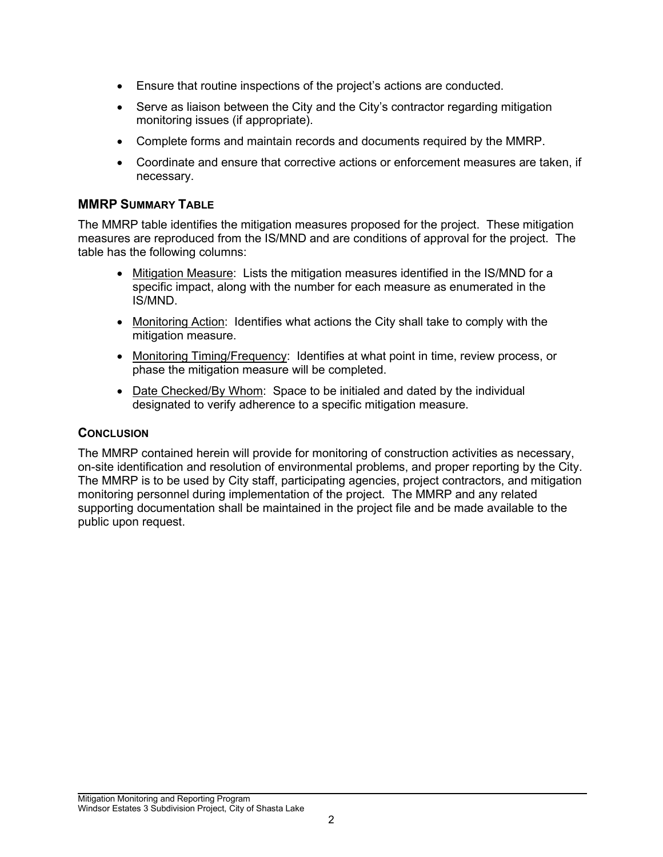- Ensure that routine inspections of the project's actions are conducted.
- Serve as liaison between the City and the City's contractor regarding mitigation monitoring issues (if appropriate).
- Complete forms and maintain records and documents required by the MMRP.
- Coordinate and ensure that corrective actions or enforcement measures are taken, if necessary.

#### **MMRP SUMMARY TABLE**

The MMRP table identifies the mitigation measures proposed for the project. These mitigation measures are reproduced from the IS/MND and are conditions of approval for the project. The table has the following columns:

- Mitigation Measure: Lists the mitigation measures identified in the IS/MND for a specific impact, along with the number for each measure as enumerated in the IS/MND.
- Monitoring Action: Identifies what actions the City shall take to comply with the mitigation measure.
- Monitoring Timing/Frequency: Identifies at what point in time, review process, or phase the mitigation measure will be completed.
- Date Checked/By Whom: Space to be initialed and dated by the individual designated to verify adherence to a specific mitigation measure.

#### **CONCLUSION**

The MMRP contained herein will provide for monitoring of construction activities as necessary, on-site identification and resolution of environmental problems, and proper reporting by the City. The MMRP is to be used by City staff, participating agencies, project contractors, and mitigation monitoring personnel during implementation of the project. The MMRP and any related supporting documentation shall be maintained in the project file and be made available to the public upon request.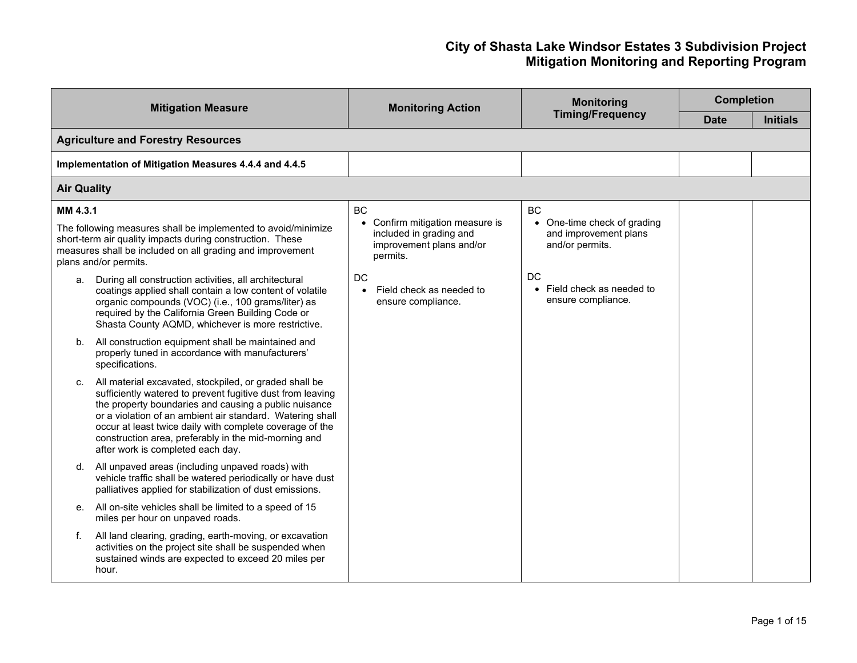#### **City of Shasta Lake Windsor Estates 3 Subdivision Project Mitigation Monitoring and Reporting Program**

| <b>Mitigation Measure</b> |                                                                                                                                                                                                                                                                                                                                                                                                     | <b>Monitoring Action</b>                                                                                      | <b>Monitoring</b>                                                                  | <b>Completion</b> |                 |  |  |
|---------------------------|-----------------------------------------------------------------------------------------------------------------------------------------------------------------------------------------------------------------------------------------------------------------------------------------------------------------------------------------------------------------------------------------------------|---------------------------------------------------------------------------------------------------------------|------------------------------------------------------------------------------------|-------------------|-----------------|--|--|
|                           |                                                                                                                                                                                                                                                                                                                                                                                                     |                                                                                                               | <b>Timing/Frequency</b>                                                            | Date              | <b>Initials</b> |  |  |
|                           | <b>Agriculture and Forestry Resources</b>                                                                                                                                                                                                                                                                                                                                                           |                                                                                                               |                                                                                    |                   |                 |  |  |
|                           | Implementation of Mitigation Measures 4.4.4 and 4.4.5                                                                                                                                                                                                                                                                                                                                               |                                                                                                               |                                                                                    |                   |                 |  |  |
| <b>Air Quality</b>        |                                                                                                                                                                                                                                                                                                                                                                                                     |                                                                                                               |                                                                                    |                   |                 |  |  |
| MM 4.3.1                  | The following measures shall be implemented to avoid/minimize<br>short-term air quality impacts during construction. These<br>measures shall be included on all grading and improvement<br>plans and/or permits.                                                                                                                                                                                    | <b>BC</b><br>Confirm mitigation measure is<br>included in grading and<br>improvement plans and/or<br>permits. | <b>BC</b><br>One-time check of grading<br>and improvement plans<br>and/or permits. |                   |                 |  |  |
| a.                        | During all construction activities, all architectural<br>coatings applied shall contain a low content of volatile<br>organic compounds (VOC) (i.e., 100 grams/liter) as<br>required by the California Green Building Code or<br>Shasta County AQMD, whichever is more restrictive.                                                                                                                  | DC<br>Field check as needed to<br>ensure compliance.                                                          | DC<br>Field check as needed to<br>ensure compliance.                               |                   |                 |  |  |
| b.                        | All construction equipment shall be maintained and<br>properly tuned in accordance with manufacturers'<br>specifications.                                                                                                                                                                                                                                                                           |                                                                                                               |                                                                                    |                   |                 |  |  |
| C.                        | All material excavated, stockpiled, or graded shall be<br>sufficiently watered to prevent fugitive dust from leaving<br>the property boundaries and causing a public nuisance<br>or a violation of an ambient air standard. Watering shall<br>occur at least twice daily with complete coverage of the<br>construction area, preferably in the mid-morning and<br>after work is completed each day. |                                                                                                               |                                                                                    |                   |                 |  |  |
| d.                        | All unpaved areas (including unpaved roads) with<br>vehicle traffic shall be watered periodically or have dust<br>palliatives applied for stabilization of dust emissions.                                                                                                                                                                                                                          |                                                                                                               |                                                                                    |                   |                 |  |  |
| е.                        | All on-site vehicles shall be limited to a speed of 15<br>miles per hour on unpaved roads.                                                                                                                                                                                                                                                                                                          |                                                                                                               |                                                                                    |                   |                 |  |  |
| f.                        | All land clearing, grading, earth-moving, or excavation<br>activities on the project site shall be suspended when<br>sustained winds are expected to exceed 20 miles per<br>hour.                                                                                                                                                                                                                   |                                                                                                               |                                                                                    |                   |                 |  |  |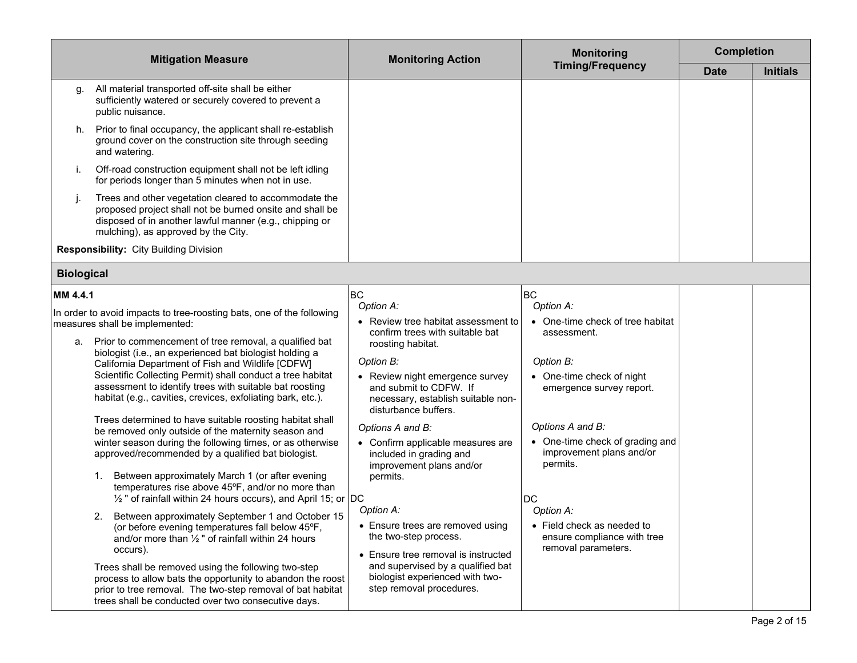|                   | <b>Mitigation Measure</b>                                                                                                                                                                                                                                                                                                                                                                                                                                                                                                                                                                                                                                                                                                                                                                                                                                                                                                                                                                                                                                                                                                                                                                                                                                                                                                 | <b>Monitoring Action</b>                                                                                                                                                                                                                                                                                                                                                                                                                                                                                                                                                                          | <b>Monitoring</b>                                                                                                                                                                                                                                                                                                                               | <b>Completion</b> |                 |
|-------------------|---------------------------------------------------------------------------------------------------------------------------------------------------------------------------------------------------------------------------------------------------------------------------------------------------------------------------------------------------------------------------------------------------------------------------------------------------------------------------------------------------------------------------------------------------------------------------------------------------------------------------------------------------------------------------------------------------------------------------------------------------------------------------------------------------------------------------------------------------------------------------------------------------------------------------------------------------------------------------------------------------------------------------------------------------------------------------------------------------------------------------------------------------------------------------------------------------------------------------------------------------------------------------------------------------------------------------|---------------------------------------------------------------------------------------------------------------------------------------------------------------------------------------------------------------------------------------------------------------------------------------------------------------------------------------------------------------------------------------------------------------------------------------------------------------------------------------------------------------------------------------------------------------------------------------------------|-------------------------------------------------------------------------------------------------------------------------------------------------------------------------------------------------------------------------------------------------------------------------------------------------------------------------------------------------|-------------------|-----------------|
|                   |                                                                                                                                                                                                                                                                                                                                                                                                                                                                                                                                                                                                                                                                                                                                                                                                                                                                                                                                                                                                                                                                                                                                                                                                                                                                                                                           |                                                                                                                                                                                                                                                                                                                                                                                                                                                                                                                                                                                                   | <b>Timing/Frequency</b>                                                                                                                                                                                                                                                                                                                         | <b>Date</b>       | <b>Initials</b> |
| g.                | All material transported off-site shall be either<br>sufficiently watered or securely covered to prevent a<br>public nuisance.                                                                                                                                                                                                                                                                                                                                                                                                                                                                                                                                                                                                                                                                                                                                                                                                                                                                                                                                                                                                                                                                                                                                                                                            |                                                                                                                                                                                                                                                                                                                                                                                                                                                                                                                                                                                                   |                                                                                                                                                                                                                                                                                                                                                 |                   |                 |
| h.                | Prior to final occupancy, the applicant shall re-establish<br>ground cover on the construction site through seeding<br>and watering.                                                                                                                                                                                                                                                                                                                                                                                                                                                                                                                                                                                                                                                                                                                                                                                                                                                                                                                                                                                                                                                                                                                                                                                      |                                                                                                                                                                                                                                                                                                                                                                                                                                                                                                                                                                                                   |                                                                                                                                                                                                                                                                                                                                                 |                   |                 |
| İ.                | Off-road construction equipment shall not be left idling<br>for periods longer than 5 minutes when not in use.                                                                                                                                                                                                                                                                                                                                                                                                                                                                                                                                                                                                                                                                                                                                                                                                                                                                                                                                                                                                                                                                                                                                                                                                            |                                                                                                                                                                                                                                                                                                                                                                                                                                                                                                                                                                                                   |                                                                                                                                                                                                                                                                                                                                                 |                   |                 |
| j.                | Trees and other vegetation cleared to accommodate the<br>proposed project shall not be burned onsite and shall be<br>disposed of in another lawful manner (e.g., chipping or<br>mulching), as approved by the City.                                                                                                                                                                                                                                                                                                                                                                                                                                                                                                                                                                                                                                                                                                                                                                                                                                                                                                                                                                                                                                                                                                       |                                                                                                                                                                                                                                                                                                                                                                                                                                                                                                                                                                                                   |                                                                                                                                                                                                                                                                                                                                                 |                   |                 |
|                   | <b>Responsibility: City Building Division</b>                                                                                                                                                                                                                                                                                                                                                                                                                                                                                                                                                                                                                                                                                                                                                                                                                                                                                                                                                                                                                                                                                                                                                                                                                                                                             |                                                                                                                                                                                                                                                                                                                                                                                                                                                                                                                                                                                                   |                                                                                                                                                                                                                                                                                                                                                 |                   |                 |
| <b>Biological</b> |                                                                                                                                                                                                                                                                                                                                                                                                                                                                                                                                                                                                                                                                                                                                                                                                                                                                                                                                                                                                                                                                                                                                                                                                                                                                                                                           |                                                                                                                                                                                                                                                                                                                                                                                                                                                                                                                                                                                                   |                                                                                                                                                                                                                                                                                                                                                 |                   |                 |
| MM 4.4.1          |                                                                                                                                                                                                                                                                                                                                                                                                                                                                                                                                                                                                                                                                                                                                                                                                                                                                                                                                                                                                                                                                                                                                                                                                                                                                                                                           | <b>BC</b>                                                                                                                                                                                                                                                                                                                                                                                                                                                                                                                                                                                         | <b>BC</b>                                                                                                                                                                                                                                                                                                                                       |                   |                 |
| а.                | In order to avoid impacts to tree-roosting bats, one of the following<br>measures shall be implemented:<br>Prior to commencement of tree removal, a qualified bat<br>biologist (i.e., an experienced bat biologist holding a<br>California Department of Fish and Wildlife [CDFW]<br>Scientific Collecting Permit) shall conduct a tree habitat<br>assessment to identify trees with suitable bat roosting<br>habitat (e.g., cavities, crevices, exfoliating bark, etc.).<br>Trees determined to have suitable roosting habitat shall<br>be removed only outside of the maternity season and<br>winter season during the following times, or as otherwise<br>approved/recommended by a qualified bat biologist.<br>Between approximately March 1 (or after evening<br>temperatures rise above 45°F, and/or no more than<br>1/2" of rainfall within 24 hours occurs), and April 15; or DC<br>2. Between approximately September 1 and October 15<br>(or before evening temperatures fall below 45°F,<br>and/or more than $\frac{1}{2}$ " of rainfall within 24 hours<br>occurs).<br>Trees shall be removed using the following two-step<br>process to allow bats the opportunity to abandon the roost<br>prior to tree removal. The two-step removal of bat habitat<br>trees shall be conducted over two consecutive days. | Option A:<br>• Review tree habitat assessment to<br>confirm trees with suitable bat<br>roosting habitat.<br>Option B:<br>• Review night emergence survey<br>and submit to CDFW. If<br>necessary, establish suitable non-<br>disturbance buffers.<br>Options A and B:<br>• Confirm applicable measures are<br>included in grading and<br>improvement plans and/or<br>permits.<br>Option A:<br>• Ensure trees are removed using<br>the two-step process.<br>• Ensure tree removal is instructed<br>and supervised by a qualified bat<br>biologist experienced with two-<br>step removal procedures. | Option A:<br>• One-time check of tree habitat<br>assessment.<br>Option B:<br>• One-time check of night<br>emergence survey report.<br>Options A and B:<br>• One-time check of grading and<br>improvement plans and/or<br>permits.<br><b>DC</b><br>Option A:<br>• Field check as needed to<br>ensure compliance with tree<br>removal parameters. |                   |                 |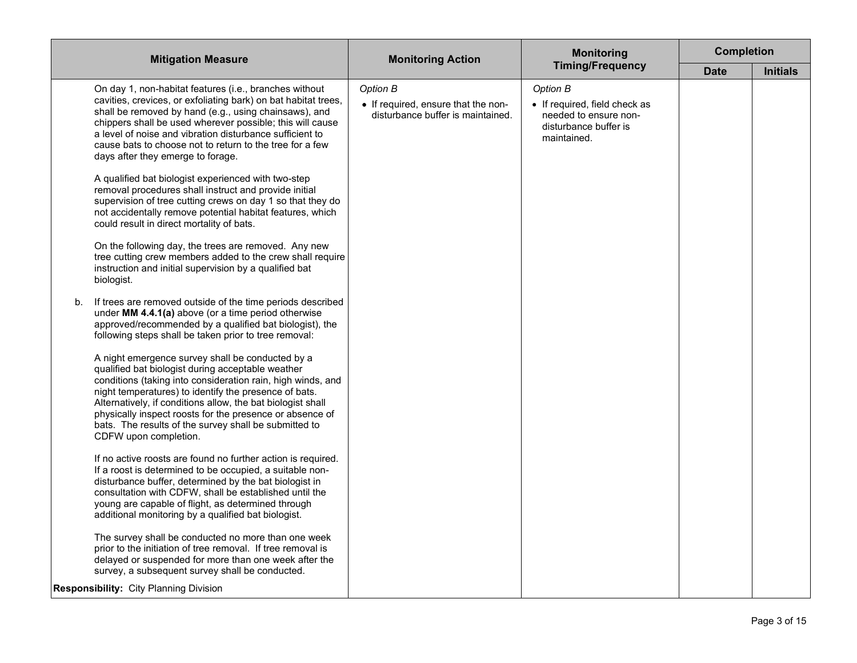| <b>Mitigation Measure</b>                                                                                                                                                                                                                                                                                                                                                                                                                  | <b>Monitoring Action</b>                                                             | <b>Monitoring</b><br><b>Timing/Frequency</b>                                                               | <b>Completion</b> |                 |
|--------------------------------------------------------------------------------------------------------------------------------------------------------------------------------------------------------------------------------------------------------------------------------------------------------------------------------------------------------------------------------------------------------------------------------------------|--------------------------------------------------------------------------------------|------------------------------------------------------------------------------------------------------------|-------------------|-----------------|
|                                                                                                                                                                                                                                                                                                                                                                                                                                            |                                                                                      |                                                                                                            | <b>Date</b>       | <b>Initials</b> |
| On day 1, non-habitat features (i.e., branches without<br>cavities, crevices, or exfoliating bark) on bat habitat trees,<br>shall be removed by hand (e.g., using chainsaws), and<br>chippers shall be used wherever possible; this will cause<br>a level of noise and vibration disturbance sufficient to<br>cause bats to choose not to return to the tree for a few<br>days after they emerge to forage.                                | Option B<br>• If required, ensure that the non-<br>disturbance buffer is maintained. | Option B<br>• If required, field check as<br>needed to ensure non-<br>disturbance buffer is<br>maintained. |                   |                 |
| A qualified bat biologist experienced with two-step<br>removal procedures shall instruct and provide initial<br>supervision of tree cutting crews on day 1 so that they do<br>not accidentally remove potential habitat features, which<br>could result in direct mortality of bats.                                                                                                                                                       |                                                                                      |                                                                                                            |                   |                 |
| On the following day, the trees are removed. Any new<br>tree cutting crew members added to the crew shall require<br>instruction and initial supervision by a qualified bat<br>biologist.                                                                                                                                                                                                                                                  |                                                                                      |                                                                                                            |                   |                 |
| If trees are removed outside of the time periods described<br>b.<br>under MM 4.4.1(a) above (or a time period otherwise<br>approved/recommended by a qualified bat biologist), the<br>following steps shall be taken prior to tree removal:                                                                                                                                                                                                |                                                                                      |                                                                                                            |                   |                 |
| A night emergence survey shall be conducted by a<br>qualified bat biologist during acceptable weather<br>conditions (taking into consideration rain, high winds, and<br>night temperatures) to identify the presence of bats.<br>Alternatively, if conditions allow, the bat biologist shall<br>physically inspect roosts for the presence or absence of<br>bats. The results of the survey shall be submitted to<br>CDFW upon completion. |                                                                                      |                                                                                                            |                   |                 |
| If no active roosts are found no further action is required.<br>If a roost is determined to be occupied, a suitable non-<br>disturbance buffer, determined by the bat biologist in<br>consultation with CDFW, shall be established until the<br>young are capable of flight, as determined through<br>additional monitoring by a qualified bat biologist.                                                                                  |                                                                                      |                                                                                                            |                   |                 |
| The survey shall be conducted no more than one week<br>prior to the initiation of tree removal. If tree removal is<br>delayed or suspended for more than one week after the<br>survey, a subsequent survey shall be conducted.                                                                                                                                                                                                             |                                                                                      |                                                                                                            |                   |                 |
| <b>Responsibility: City Planning Division</b>                                                                                                                                                                                                                                                                                                                                                                                              |                                                                                      |                                                                                                            |                   |                 |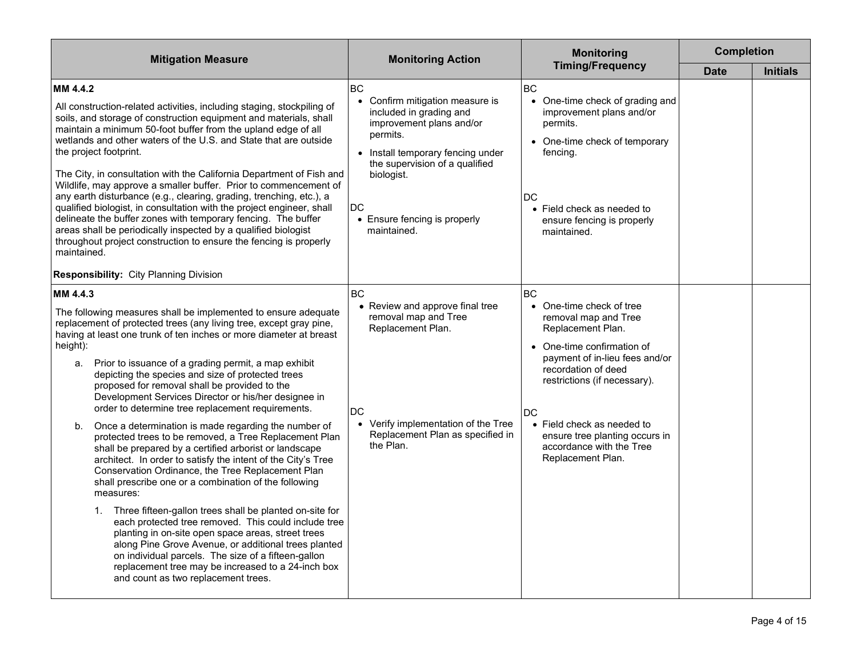| <b>Mitigation Measure</b>                                                                                                                                                                                                                                                                                                                                                                                                                                                                                                                                                                                                                                                                                                                                                                                                                                                                                                                                                                                                                                                                                                                                                                                                                                                             | <b>Monitoring Action</b>                                                                                                                                                                                                                                                    | <b>Monitoring</b>                                                                                                                                                                                                                                                                                                                | <b>Completion</b> |                 |
|---------------------------------------------------------------------------------------------------------------------------------------------------------------------------------------------------------------------------------------------------------------------------------------------------------------------------------------------------------------------------------------------------------------------------------------------------------------------------------------------------------------------------------------------------------------------------------------------------------------------------------------------------------------------------------------------------------------------------------------------------------------------------------------------------------------------------------------------------------------------------------------------------------------------------------------------------------------------------------------------------------------------------------------------------------------------------------------------------------------------------------------------------------------------------------------------------------------------------------------------------------------------------------------|-----------------------------------------------------------------------------------------------------------------------------------------------------------------------------------------------------------------------------------------------------------------------------|----------------------------------------------------------------------------------------------------------------------------------------------------------------------------------------------------------------------------------------------------------------------------------------------------------------------------------|-------------------|-----------------|
|                                                                                                                                                                                                                                                                                                                                                                                                                                                                                                                                                                                                                                                                                                                                                                                                                                                                                                                                                                                                                                                                                                                                                                                                                                                                                       |                                                                                                                                                                                                                                                                             | <b>Timing/Frequency</b>                                                                                                                                                                                                                                                                                                          | <b>Date</b>       | <b>Initials</b> |
| MM 4.4.2<br>All construction-related activities, including staging, stockpiling of<br>soils, and storage of construction equipment and materials, shall<br>maintain a minimum 50-foot buffer from the upland edge of all<br>wetlands and other waters of the U.S. and State that are outside<br>the project footprint.<br>The City, in consultation with the California Department of Fish and<br>Wildlife, may approve a smaller buffer. Prior to commencement of<br>any earth disturbance (e.g., clearing, grading, trenching, etc.), a<br>qualified biologist, in consultation with the project engineer, shall<br>delineate the buffer zones with temporary fencing. The buffer<br>areas shall be periodically inspected by a qualified biologist<br>throughout project construction to ensure the fencing is properly<br>maintained.<br><b>Responsibility: City Planning Division</b>                                                                                                                                                                                                                                                                                                                                                                                            | <b>BC</b><br>Confirm mitigation measure is<br>$\bullet$<br>included in grading and<br>improvement plans and/or<br>permits.<br>• Install temporary fencing under<br>the supervision of a qualified<br>biologist.<br><b>DC</b><br>• Ensure fencing is properly<br>maintained. | <b>BC</b><br>• One-time check of grading and<br>improvement plans and/or<br>permits.<br>• One-time check of temporary<br>fencing.<br><b>DC</b><br>• Field check as needed to<br>ensure fencing is properly<br>maintained.                                                                                                        |                   |                 |
| MM 4.4.3<br>The following measures shall be implemented to ensure adequate<br>replacement of protected trees (any living tree, except gray pine,<br>having at least one trunk of ten inches or more diameter at breast<br>height):<br>a. Prior to issuance of a grading permit, a map exhibit<br>depicting the species and size of protected trees<br>proposed for removal shall be provided to the<br>Development Services Director or his/her designee in<br>order to determine tree replacement requirements.<br>Once a determination is made regarding the number of<br>b.<br>protected trees to be removed, a Tree Replacement Plan<br>shall be prepared by a certified arborist or landscape<br>architect. In order to satisfy the intent of the City's Tree<br>Conservation Ordinance, the Tree Replacement Plan<br>shall prescribe one or a combination of the following<br>measures:<br>1. Three fifteen-gallon trees shall be planted on-site for<br>each protected tree removed. This could include tree<br>planting in on-site open space areas, street trees<br>along Pine Grove Avenue, or additional trees planted<br>on individual parcels. The size of a fifteen-gallon<br>replacement tree may be increased to a 24-inch box<br>and count as two replacement trees. | <b>BC</b><br>• Review and approve final tree<br>removal map and Tree<br>Replacement Plan.<br><b>DC</b><br>• Verify implementation of the Tree<br>Replacement Plan as specified in<br>the Plan.                                                                              | <b>BC</b><br>• One-time check of tree<br>removal map and Tree<br>Replacement Plan.<br>• One-time confirmation of<br>payment of in-lieu fees and/or<br>recordation of deed<br>restrictions (if necessary).<br>DC<br>• Field check as needed to<br>ensure tree planting occurs in<br>accordance with the Tree<br>Replacement Plan. |                   |                 |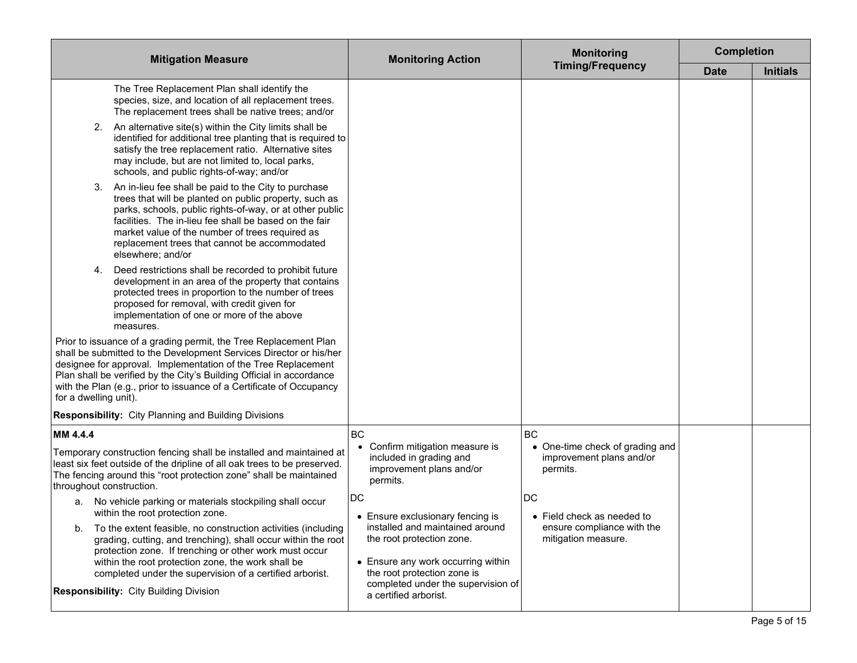| <b>Mitigation Measure</b>                                                                                                                                                                                                                                                                                                                                                                                                                                           | <b>Monitoring Action</b>                                                                                                                                                                                                                   | <b>Monitoring</b>                                                                     | <b>Completion</b> |                 |
|---------------------------------------------------------------------------------------------------------------------------------------------------------------------------------------------------------------------------------------------------------------------------------------------------------------------------------------------------------------------------------------------------------------------------------------------------------------------|--------------------------------------------------------------------------------------------------------------------------------------------------------------------------------------------------------------------------------------------|---------------------------------------------------------------------------------------|-------------------|-----------------|
|                                                                                                                                                                                                                                                                                                                                                                                                                                                                     |                                                                                                                                                                                                                                            | <b>Timing/Frequency</b>                                                               | <b>Date</b>       | <b>Initials</b> |
| The Tree Replacement Plan shall identify the<br>species, size, and location of all replacement trees.<br>The replacement trees shall be native trees; and/or<br>An alternative site(s) within the City limits shall be<br>2.<br>identified for additional tree planting that is required to<br>satisfy the tree replacement ratio. Alternative sites<br>may include, but are not limited to, local parks,<br>schools, and public rights-of-way; and/or              |                                                                                                                                                                                                                                            |                                                                                       |                   |                 |
| An in-lieu fee shall be paid to the City to purchase<br>3.<br>trees that will be planted on public property, such as<br>parks, schools, public rights-of-way, or at other public<br>facilities. The in-lieu fee shall be based on the fair<br>market value of the number of trees required as<br>replacement trees that cannot be accommodated<br>elsewhere; and/or                                                                                                 |                                                                                                                                                                                                                                            |                                                                                       |                   |                 |
| Deed restrictions shall be recorded to prohibit future<br>4.<br>development in an area of the property that contains<br>protected trees in proportion to the number of trees<br>proposed for removal, with credit given for<br>implementation of one or more of the above<br>measures.                                                                                                                                                                              |                                                                                                                                                                                                                                            |                                                                                       |                   |                 |
| Prior to issuance of a grading permit, the Tree Replacement Plan<br>shall be submitted to the Development Services Director or his/her<br>designee for approval. Implementation of the Tree Replacement<br>Plan shall be verified by the City's Building Official in accordance<br>with the Plan (e.g., prior to issuance of a Certificate of Occupancy<br>for a dwelling unit).                                                                                    |                                                                                                                                                                                                                                            |                                                                                       |                   |                 |
| <b>Responsibility:</b> City Planning and Building Divisions                                                                                                                                                                                                                                                                                                                                                                                                         |                                                                                                                                                                                                                                            |                                                                                       |                   |                 |
| MM 4.4.4<br>Temporary construction fencing shall be installed and maintained at<br>least six feet outside of the dripline of all oak trees to be preserved.<br>The fencing around this "root protection zone" shall be maintained<br>throughout construction.                                                                                                                                                                                                       | BC<br>Confirm mitigation measure is<br>included in grading and<br>improvement plans and/or<br>permits.                                                                                                                                     | BC<br>• One-time check of grading and<br>improvement plans and/or<br>permits.         |                   |                 |
| a. No vehicle parking or materials stockpiling shall occur<br>within the root protection zone.<br>To the extent feasible, no construction activities (including<br>b.<br>grading, cutting, and trenching), shall occur within the root<br>protection zone. If trenching or other work must occur<br>within the root protection zone, the work shall be<br>completed under the supervision of a certified arborist.<br><b>Responsibility:</b> City Building Division | DC<br>• Ensure exclusionary fencing is<br>installed and maintained around<br>the root protection zone.<br>• Ensure any work occurring within<br>the root protection zone is<br>completed under the supervision of<br>a certified arborist. | DC<br>• Field check as needed to<br>ensure compliance with the<br>mitigation measure. |                   |                 |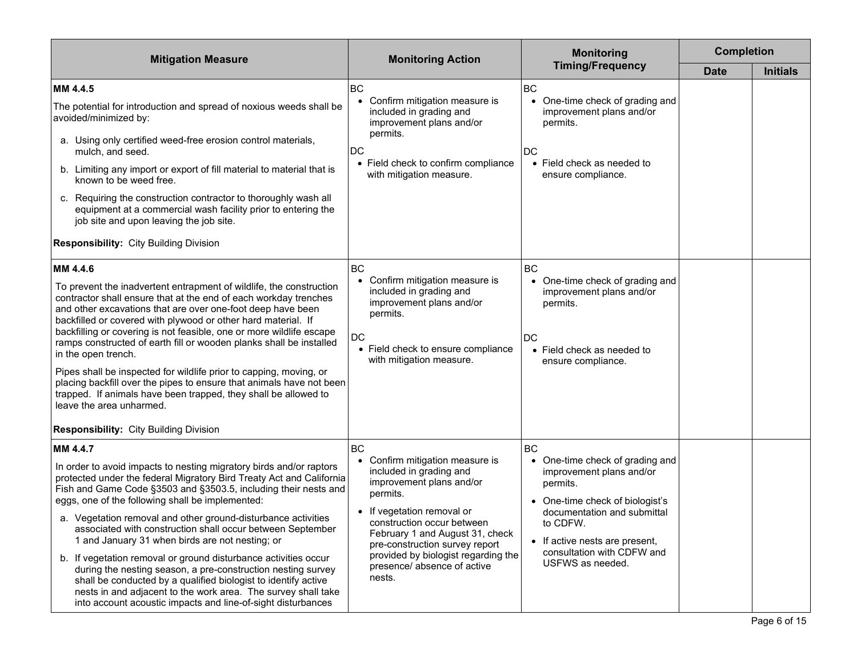| <b>Mitigation Measure</b>                                                                                                                                                                                                                                                                                                                                                                                                                                                                                                                                                                                                                                                                                                                                                                              | <b>Monitoring Action</b>                                                                                                                                                                                                                                                                                                        | <b>Monitoring</b>                                                                                                                                                                                                                             | <b>Completion</b> |                 |
|--------------------------------------------------------------------------------------------------------------------------------------------------------------------------------------------------------------------------------------------------------------------------------------------------------------------------------------------------------------------------------------------------------------------------------------------------------------------------------------------------------------------------------------------------------------------------------------------------------------------------------------------------------------------------------------------------------------------------------------------------------------------------------------------------------|---------------------------------------------------------------------------------------------------------------------------------------------------------------------------------------------------------------------------------------------------------------------------------------------------------------------------------|-----------------------------------------------------------------------------------------------------------------------------------------------------------------------------------------------------------------------------------------------|-------------------|-----------------|
|                                                                                                                                                                                                                                                                                                                                                                                                                                                                                                                                                                                                                                                                                                                                                                                                        |                                                                                                                                                                                                                                                                                                                                 | <b>Timing/Frequency</b>                                                                                                                                                                                                                       | <b>Date</b>       | <b>Initials</b> |
| MM 4.4.5<br>The potential for introduction and spread of noxious weeds shall be<br>avoided/minimized by:<br>a. Using only certified weed-free erosion control materials,<br>mulch, and seed.<br>b. Limiting any import or export of fill material to material that is<br>known to be weed free.<br>c. Requiring the construction contractor to thoroughly wash all<br>equipment at a commercial wash facility prior to entering the<br>job site and upon leaving the job site.<br><b>Responsibility: City Building Division</b>                                                                                                                                                                                                                                                                        | <b>BC</b><br>• Confirm mitigation measure is<br>included in grading and<br>improvement plans and/or<br>permits.<br><b>DC</b><br>• Field check to confirm compliance<br>with mitigation measure.                                                                                                                                 | <b>BC</b><br>One-time check of grading and<br>$\bullet$<br>improvement plans and/or<br>permits.<br>DC<br>• Field check as needed to<br>ensure compliance.                                                                                     |                   |                 |
| MM 4.4.6<br>To prevent the inadvertent entrapment of wildlife, the construction<br>contractor shall ensure that at the end of each workday trenches<br>and other excavations that are over one-foot deep have been<br>backfilled or covered with plywood or other hard material. If<br>backfilling or covering is not feasible, one or more wildlife escape<br>ramps constructed of earth fill or wooden planks shall be installed<br>in the open trench.<br>Pipes shall be inspected for wildlife prior to capping, moving, or<br>placing backfill over the pipes to ensure that animals have not been<br>trapped. If animals have been trapped, they shall be allowed to<br>leave the area unharmed.<br><b>Responsibility: City Building Division</b>                                                | BC<br>• Confirm mitigation measure is<br>included in grading and<br>improvement plans and/or<br>permits.<br>DC<br>• Field check to ensure compliance<br>with mitigation measure.                                                                                                                                                | <b>BC</b><br>• One-time check of grading and<br>improvement plans and/or<br>permits.<br>DC<br>• Field check as needed to<br>ensure compliance.                                                                                                |                   |                 |
| MM 4.4.7<br>In order to avoid impacts to nesting migratory birds and/or raptors<br>protected under the federal Migratory Bird Treaty Act and California<br>Fish and Game Code §3503 and §3503.5, including their nests and<br>eggs, one of the following shall be implemented:<br>a. Vegetation removal and other ground-disturbance activities<br>associated with construction shall occur between September<br>1 and January 31 when birds are not nesting; or<br>b. If vegetation removal or ground disturbance activities occur<br>during the nesting season, a pre-construction nesting survey<br>shall be conducted by a qualified biologist to identify active<br>nests in and adjacent to the work area. The survey shall take<br>into account acoustic impacts and line-of-sight disturbances | <b>BC</b><br>• Confirm mitigation measure is<br>included in grading and<br>improvement plans and/or<br>permits.<br>• If vegetation removal or<br>construction occur between<br>February 1 and August 31, check<br>pre-construction survey report<br>provided by biologist regarding the<br>presence/absence of active<br>nests. | BC<br>• One-time check of grading and<br>improvement plans and/or<br>permits.<br>One-time check of biologist's<br>documentation and submittal<br>to CDFW.<br>• If active nests are present,<br>consultation with CDFW and<br>USFWS as needed. |                   |                 |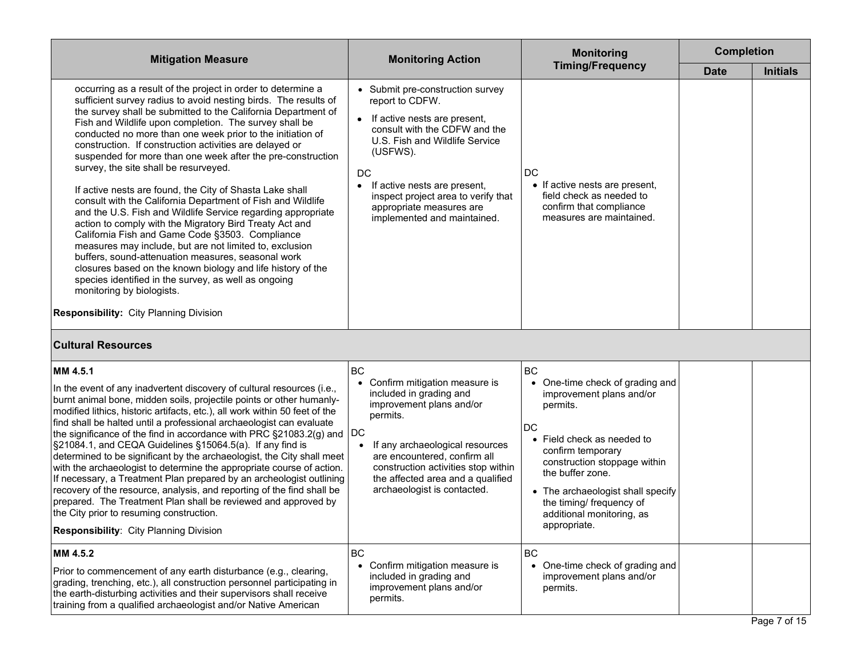| <b>Mitigation Measure</b>                                                                                                                                                                                                                                                                                                                                                                                                                                                                                                                                                                                                                                                                                                                                                                                                                                                                                                                                                                                                                                                                                                  | <b>Monitoring Action</b>                                                                                                                                                                                                                                                                                                     | <b>Monitoring</b>                                                                                                                                                                                                                                                                                                          | <b>Completion</b> |                 |
|----------------------------------------------------------------------------------------------------------------------------------------------------------------------------------------------------------------------------------------------------------------------------------------------------------------------------------------------------------------------------------------------------------------------------------------------------------------------------------------------------------------------------------------------------------------------------------------------------------------------------------------------------------------------------------------------------------------------------------------------------------------------------------------------------------------------------------------------------------------------------------------------------------------------------------------------------------------------------------------------------------------------------------------------------------------------------------------------------------------------------|------------------------------------------------------------------------------------------------------------------------------------------------------------------------------------------------------------------------------------------------------------------------------------------------------------------------------|----------------------------------------------------------------------------------------------------------------------------------------------------------------------------------------------------------------------------------------------------------------------------------------------------------------------------|-------------------|-----------------|
|                                                                                                                                                                                                                                                                                                                                                                                                                                                                                                                                                                                                                                                                                                                                                                                                                                                                                                                                                                                                                                                                                                                            |                                                                                                                                                                                                                                                                                                                              | <b>Timing/Frequency</b>                                                                                                                                                                                                                                                                                                    | <b>Date</b>       | <b>Initials</b> |
| occurring as a result of the project in order to determine a<br>sufficient survey radius to avoid nesting birds. The results of<br>the survey shall be submitted to the California Department of<br>Fish and Wildlife upon completion. The survey shall be<br>conducted no more than one week prior to the initiation of<br>construction. If construction activities are delayed or<br>suspended for more than one week after the pre-construction<br>survey, the site shall be resurveyed.<br>If active nests are found, the City of Shasta Lake shall<br>consult with the California Department of Fish and Wildlife<br>and the U.S. Fish and Wildlife Service regarding appropriate<br>action to comply with the Migratory Bird Treaty Act and<br>California Fish and Game Code §3503. Compliance<br>measures may include, but are not limited to, exclusion<br>buffers, sound-attenuation measures, seasonal work<br>closures based on the known biology and life history of the<br>species identified in the survey, as well as ongoing<br>monitoring by biologists.<br><b>Responsibility: City Planning Division</b> | • Submit pre-construction survey<br>report to CDFW.<br>If active nests are present,<br>$\bullet$<br>consult with the CDFW and the<br>U.S. Fish and Wildlife Service<br>(USFWS).<br>DC<br>If active nests are present,<br>٠<br>inspect project area to verify that<br>appropriate measures are<br>implemented and maintained. | DC<br>• If active nests are present,<br>field check as needed to<br>confirm that compliance<br>measures are maintained.                                                                                                                                                                                                    |                   |                 |
| <b>Cultural Resources</b>                                                                                                                                                                                                                                                                                                                                                                                                                                                                                                                                                                                                                                                                                                                                                                                                                                                                                                                                                                                                                                                                                                  |                                                                                                                                                                                                                                                                                                                              |                                                                                                                                                                                                                                                                                                                            |                   |                 |
| MM 4.5.1<br>In the event of any inadvertent discovery of cultural resources (i.e.,<br>burnt animal bone, midden soils, projectile points or other humanly-<br>modified lithics, historic artifacts, etc.), all work within 50 feet of the<br>find shall be halted until a professional archaeologist can evaluate<br>the significance of the find in accordance with PRC §21083.2(g) and $ {\rm DC} $<br>§21084.1, and CEQA Guidelines §15064.5(a). If any find is<br>determined to be significant by the archaeologist, the City shall meet<br>with the archaeologist to determine the appropriate course of action.<br>If necessary, a Treatment Plan prepared by an archeologist outlining<br>recovery of the resource, analysis, and reporting of the find shall be<br>prepared. The Treatment Plan shall be reviewed and approved by<br>the City prior to resuming construction.<br><b>Responsibility: City Planning Division</b>                                                                                                                                                                                     | BC<br>Confirm mitigation measure is<br>$\bullet$<br>included in grading and<br>improvement plans and/or<br>permits.<br>If any archaeological resources<br>are encountered, confirm all<br>construction activities stop within<br>the affected area and a qualified<br>archaeologist is contacted.                            | BC<br>One-time check of grading and<br>$\bullet$<br>improvement plans and/or<br>permits.<br><b>DC</b><br>• Field check as needed to<br>confirm temporary<br>construction stoppage within<br>the buffer zone.<br>• The archaeologist shall specify<br>the timing/ frequency of<br>additional monitoring, as<br>appropriate. |                   |                 |
| MM 4.5.2<br>Prior to commencement of any earth disturbance (e.g., clearing,<br>grading, trenching, etc.), all construction personnel participating in<br>the earth-disturbing activities and their supervisors shall receive<br>training from a qualified archaeologist and/or Native American                                                                                                                                                                                                                                                                                                                                                                                                                                                                                                                                                                                                                                                                                                                                                                                                                             | <b>BC</b><br>Confirm mitigation measure is<br>included in grading and<br>improvement plans and/or<br>permits.                                                                                                                                                                                                                | <b>BC</b><br>One-time check of grading and<br>improvement plans and/or<br>permits.                                                                                                                                                                                                                                         |                   |                 |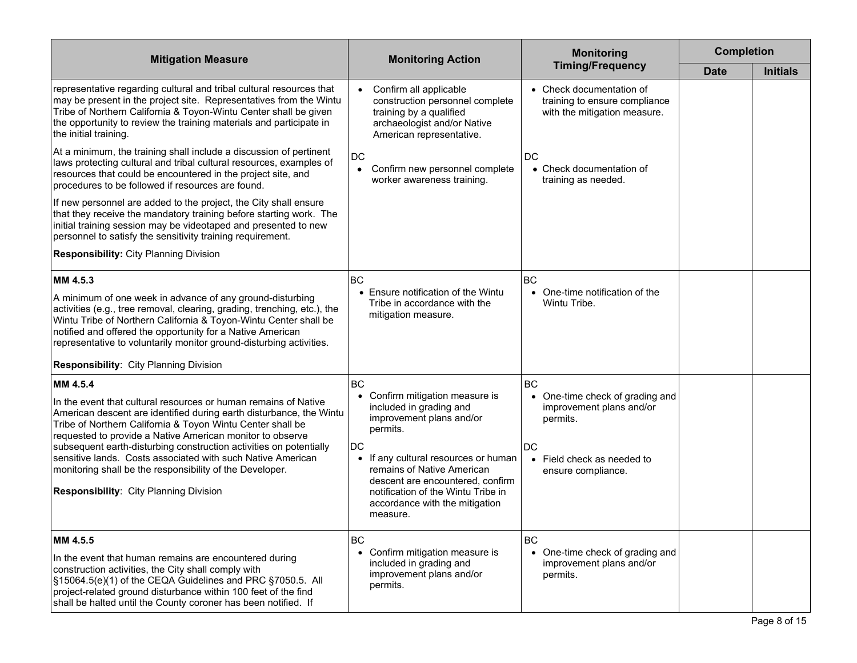| <b>Mitigation Measure</b>                                                                                                                                                                                                                                                                                                                                                                                                                                                                                                | <b>Monitoring Action</b>                                                                                                                                                                                                                                                                                                       | <b>Monitoring</b>                                                                                                                                         | <b>Completion</b> |                 |
|--------------------------------------------------------------------------------------------------------------------------------------------------------------------------------------------------------------------------------------------------------------------------------------------------------------------------------------------------------------------------------------------------------------------------------------------------------------------------------------------------------------------------|--------------------------------------------------------------------------------------------------------------------------------------------------------------------------------------------------------------------------------------------------------------------------------------------------------------------------------|-----------------------------------------------------------------------------------------------------------------------------------------------------------|-------------------|-----------------|
|                                                                                                                                                                                                                                                                                                                                                                                                                                                                                                                          |                                                                                                                                                                                                                                                                                                                                | <b>Timing/Frequency</b>                                                                                                                                   | <b>Date</b>       | <b>Initials</b> |
| representative regarding cultural and tribal cultural resources that<br>may be present in the project site. Representatives from the Wintu<br>Tribe of Northern California & Toyon-Wintu Center shall be given<br>the opportunity to review the training materials and participate in<br>the initial training.                                                                                                                                                                                                           | Confirm all applicable<br>$\bullet$<br>construction personnel complete<br>training by a qualified<br>archaeologist and/or Native<br>American representative.                                                                                                                                                                   | • Check documentation of<br>training to ensure compliance<br>with the mitigation measure.                                                                 |                   |                 |
| At a minimum, the training shall include a discussion of pertinent<br>laws protecting cultural and tribal cultural resources, examples of<br>resources that could be encountered in the project site, and<br>procedures to be followed if resources are found.                                                                                                                                                                                                                                                           | DC<br>Confirm new personnel complete<br>$\bullet$<br>worker awareness training.                                                                                                                                                                                                                                                | DC<br>• Check documentation of<br>training as needed.                                                                                                     |                   |                 |
| If new personnel are added to the project, the City shall ensure<br>that they receive the mandatory training before starting work. The<br>initial training session may be videotaped and presented to new<br>personnel to satisfy the sensitivity training requirement.                                                                                                                                                                                                                                                  |                                                                                                                                                                                                                                                                                                                                |                                                                                                                                                           |                   |                 |
| <b>Responsibility: City Planning Division</b>                                                                                                                                                                                                                                                                                                                                                                                                                                                                            |                                                                                                                                                                                                                                                                                                                                |                                                                                                                                                           |                   |                 |
| MM 4.5.3<br>A minimum of one week in advance of any ground-disturbing<br>activities (e.g., tree removal, clearing, grading, trenching, etc.), the<br>Wintu Tribe of Northern California & Toyon-Wintu Center shall be<br>notified and offered the opportunity for a Native American<br>representative to voluntarily monitor ground-disturbing activities.<br><b>Responsibility: City Planning Division</b>                                                                                                              | BC<br>• Ensure notification of the Wintu<br>Tribe in accordance with the<br>mitigation measure.                                                                                                                                                                                                                                | <b>BC</b><br>• One-time notification of the<br>Wintu Tribe.                                                                                               |                   |                 |
| MM 4.5.4<br>In the event that cultural resources or human remains of Native<br>American descent are identified during earth disturbance, the Wintu<br>Tribe of Northern California & Toyon Wintu Center shall be<br>requested to provide a Native American monitor to observe<br>subsequent earth-disturbing construction activities on potentially<br>sensitive lands. Costs associated with such Native American<br>monitoring shall be the responsibility of the Developer.<br>Responsibility: City Planning Division | <b>BC</b><br>Confirm mitigation measure is<br>$\bullet$<br>included in grading and<br>improvement plans and/or<br>permits.<br>DC<br>• If any cultural resources or human<br>remains of Native American<br>descent are encountered, confirm<br>notification of the Wintu Tribe in<br>accordance with the mitigation<br>measure. | <b>BC</b><br>One-time check of grading and<br>$\bullet$<br>improvement plans and/or<br>permits.<br>DC<br>• Field check as needed to<br>ensure compliance. |                   |                 |
| MM 4.5.5<br>In the event that human remains are encountered during<br>construction activities, the City shall comply with<br>S15064.5(e)(1) of the CEQA Guidelines and PRC S7050.5. All<br>project-related ground disturbance within 100 feet of the find<br>shall be halted until the County coroner has been notified. If                                                                                                                                                                                              | <b>BC</b><br>• Confirm mitigation measure is<br>included in grading and<br>improvement plans and/or<br>permits.                                                                                                                                                                                                                | BC<br>• One-time check of grading and<br>improvement plans and/or<br>permits.                                                                             |                   |                 |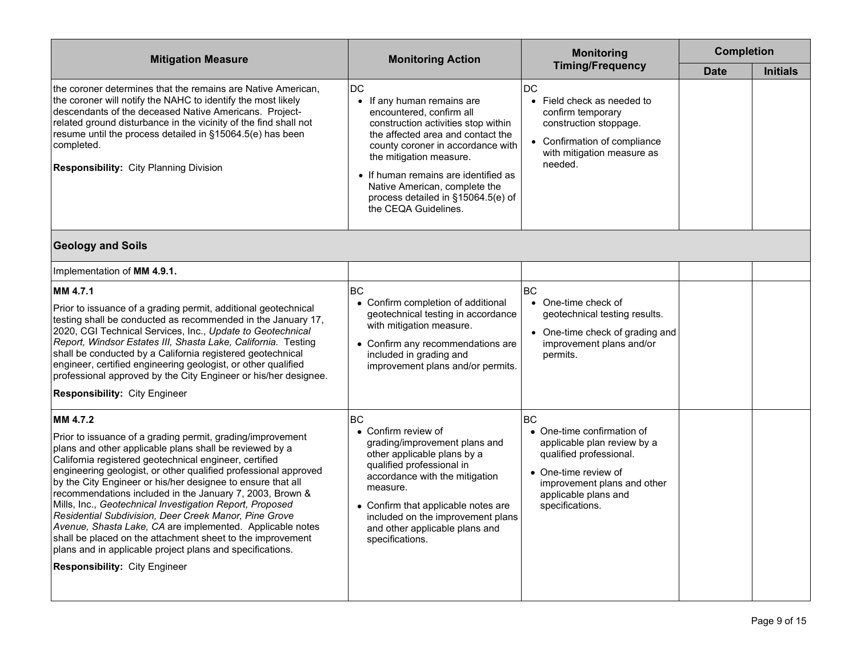| <b>Mitigation Measure</b>                                                                                                                                                                                                                                                                                                                                                                                                                                                                                                                                                                                                                                                                                                                      | <b>Monitoring Action</b>                                                                                                                                                                                                                                                                                                                               | <b>Monitoring</b>                                                                                                                                                                                        | <b>Completion</b> |                 |
|------------------------------------------------------------------------------------------------------------------------------------------------------------------------------------------------------------------------------------------------------------------------------------------------------------------------------------------------------------------------------------------------------------------------------------------------------------------------------------------------------------------------------------------------------------------------------------------------------------------------------------------------------------------------------------------------------------------------------------------------|--------------------------------------------------------------------------------------------------------------------------------------------------------------------------------------------------------------------------------------------------------------------------------------------------------------------------------------------------------|----------------------------------------------------------------------------------------------------------------------------------------------------------------------------------------------------------|-------------------|-----------------|
|                                                                                                                                                                                                                                                                                                                                                                                                                                                                                                                                                                                                                                                                                                                                                |                                                                                                                                                                                                                                                                                                                                                        | <b>Timing/Frequency</b>                                                                                                                                                                                  | <b>Date</b>       | <b>Initials</b> |
| the coroner determines that the remains are Native American,<br>the coroner will notify the NAHC to identify the most likely<br>descendants of the deceased Native Americans. Project-<br>related ground disturbance in the vicinity of the find shall not<br>resume until the process detailed in §15064.5(e) has been<br>completed.<br><b>Responsibility: City Planning Division</b>                                                                                                                                                                                                                                                                                                                                                         | <b>DC</b><br>• If any human remains are<br>encountered, confirm all<br>construction activities stop within<br>the affected area and contact the<br>county coroner in accordance with<br>the mitigation measure.<br>• If human remains are identified as<br>Native American, complete the<br>process detailed in §15064.5(e) of<br>the CEQA Guidelines. | DC<br>Field check as needed to<br>$\bullet$<br>confirm temporary<br>construction stoppage.<br>Confirmation of compliance<br>with mitigation measure as<br>needed.                                        |                   |                 |
| <b>Geology and Soils</b>                                                                                                                                                                                                                                                                                                                                                                                                                                                                                                                                                                                                                                                                                                                       |                                                                                                                                                                                                                                                                                                                                                        |                                                                                                                                                                                                          |                   |                 |
| Implementation of MM 4.9.1.                                                                                                                                                                                                                                                                                                                                                                                                                                                                                                                                                                                                                                                                                                                    |                                                                                                                                                                                                                                                                                                                                                        |                                                                                                                                                                                                          |                   |                 |
| MM 4.7.1                                                                                                                                                                                                                                                                                                                                                                                                                                                                                                                                                                                                                                                                                                                                       | <b>BC</b>                                                                                                                                                                                                                                                                                                                                              | <b>BC</b>                                                                                                                                                                                                |                   |                 |
| Prior to issuance of a grading permit, additional geotechnical<br>testing shall be conducted as recommended in the January 17,<br>2020, CGI Technical Services, Inc., Update to Geotechnical<br>Report, Windsor Estates III, Shasta Lake, California. Testing<br>shall be conducted by a California registered geotechnical<br>engineer, certified engineering geologist, or other qualified<br>professional approved by the City Engineer or his/her designee.                                                                                                                                                                                                                                                                                | • Confirm completion of additional<br>geotechnical testing in accordance<br>with mitigation measure.<br>• Confirm any recommendations are<br>included in grading and<br>improvement plans and/or permits.                                                                                                                                              | One-time check of<br>geotechnical testing results.<br>One-time check of grading and<br>improvement plans and/or<br>permits.                                                                              |                   |                 |
| <b>Responsibility: City Engineer</b>                                                                                                                                                                                                                                                                                                                                                                                                                                                                                                                                                                                                                                                                                                           |                                                                                                                                                                                                                                                                                                                                                        |                                                                                                                                                                                                          |                   |                 |
| MM 4.7.2<br>Prior to issuance of a grading permit, grading/improvement<br>plans and other applicable plans shall be reviewed by a<br>California registered geotechnical engineer, certified<br>engineering geologist, or other qualified professional approved<br>by the City Engineer or his/her designee to ensure that all<br>recommendations included in the January 7, 2003, Brown &<br>Mills, Inc., Geotechnical Investigation Report, Proposed<br>Residential Subdivision, Deer Creek Manor, Pine Grove<br>Avenue, Shasta Lake, CA are implemented. Applicable notes<br>shall be placed on the attachment sheet to the improvement<br>plans and in applicable project plans and specifications.<br><b>Responsibility: City Engineer</b> | BC.<br>• Confirm review of<br>grading/improvement plans and<br>other applicable plans by a<br>qualified professional in<br>accordance with the mitigation<br>measure.<br>• Confirm that applicable notes are<br>included on the improvement plans<br>and other applicable plans and<br>specifications.                                                 | B <sub>C</sub><br>• One-time confirmation of<br>applicable plan review by a<br>qualified professional.<br>• One-time review of<br>improvement plans and other<br>applicable plans and<br>specifications. |                   |                 |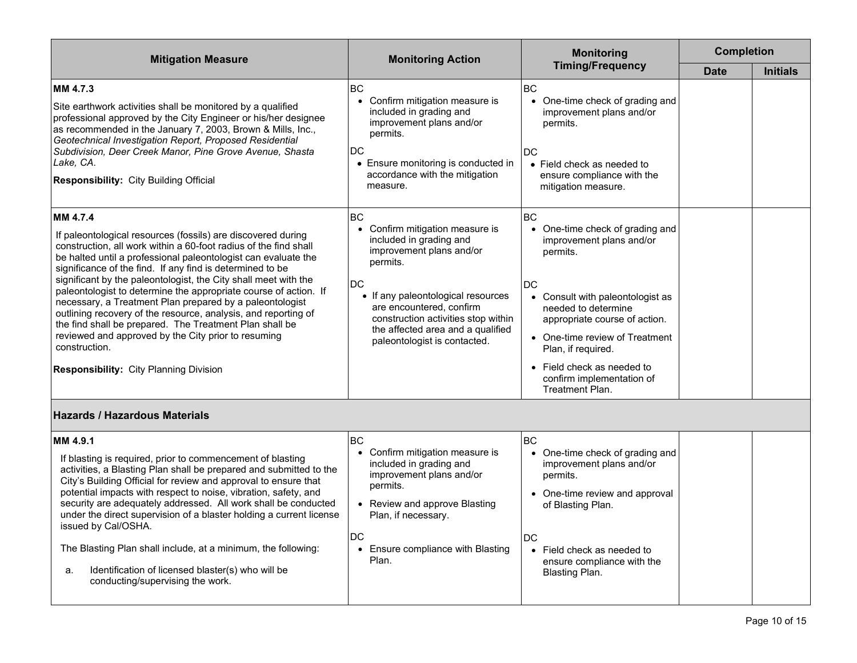| <b>Mitigation Measure</b>                                                                                                                                                                                                                                                                                                                                                                                                                                                                                                                                                                                                                                                                                                            | <b>Monitoring Action</b>                                                                                                                                                                                                                                                                                   | <b>Monitoring</b>                                                                                                                                                                                                                                                                                                                                  | <b>Completion</b> |                 |
|--------------------------------------------------------------------------------------------------------------------------------------------------------------------------------------------------------------------------------------------------------------------------------------------------------------------------------------------------------------------------------------------------------------------------------------------------------------------------------------------------------------------------------------------------------------------------------------------------------------------------------------------------------------------------------------------------------------------------------------|------------------------------------------------------------------------------------------------------------------------------------------------------------------------------------------------------------------------------------------------------------------------------------------------------------|----------------------------------------------------------------------------------------------------------------------------------------------------------------------------------------------------------------------------------------------------------------------------------------------------------------------------------------------------|-------------------|-----------------|
|                                                                                                                                                                                                                                                                                                                                                                                                                                                                                                                                                                                                                                                                                                                                      |                                                                                                                                                                                                                                                                                                            | <b>Timing/Frequency</b>                                                                                                                                                                                                                                                                                                                            | <b>Date</b>       | <b>Initials</b> |
| MM 4.7.3<br>Site earthwork activities shall be monitored by a qualified<br>professional approved by the City Engineer or his/her designee<br>as recommended in the January 7, 2003, Brown & Mills, Inc.,<br>Geotechnical Investigation Report, Proposed Residential<br>Subdivision, Deer Creek Manor, Pine Grove Avenue, Shasta<br>Lake, CA.<br>Responsibility: City Building Official                                                                                                                                                                                                                                                                                                                                               | <b>BC</b><br>Confirm mitigation measure is<br>$\bullet$<br>included in grading and<br>improvement plans and/or<br>permits.<br>DC<br>• Ensure monitoring is conducted in<br>accordance with the mitigation<br>measure.                                                                                      | <b>BC</b><br>One-time check of grading and<br>$\bullet$<br>improvement plans and/or<br>permits.<br>DC<br>• Field check as needed to<br>ensure compliance with the<br>mitigation measure.                                                                                                                                                           |                   |                 |
| MM 4.7.4<br>If paleontological resources (fossils) are discovered during<br>construction, all work within a 60-foot radius of the find shall<br>be halted until a professional paleontologist can evaluate the<br>significance of the find. If any find is determined to be<br>significant by the paleontologist, the City shall meet with the<br>paleontologist to determine the appropriate course of action. If<br>necessary, a Treatment Plan prepared by a paleontologist<br>outlining recovery of the resource, analysis, and reporting of<br>the find shall be prepared. The Treatment Plan shall be<br>reviewed and approved by the City prior to resuming<br>construction.<br><b>Responsibility: City Planning Division</b> | <b>BC</b><br>• Confirm mitigation measure is<br>included in grading and<br>improvement plans and/or<br>permits.<br><b>DC</b><br>• If any paleontological resources<br>are encountered, confirm<br>construction activities stop within<br>the affected area and a qualified<br>paleontologist is contacted. | <b>BC</b><br>One-time check of grading and<br>$\bullet$<br>improvement plans and/or<br>permits.<br>DC<br>Consult with paleontologist as<br>$\bullet$<br>needed to determine<br>appropriate course of action.<br>• One-time review of Treatment<br>Plan, if required.<br>• Field check as needed to<br>confirm implementation of<br>Treatment Plan. |                   |                 |
| <b>Hazards / Hazardous Materials</b>                                                                                                                                                                                                                                                                                                                                                                                                                                                                                                                                                                                                                                                                                                 |                                                                                                                                                                                                                                                                                                            |                                                                                                                                                                                                                                                                                                                                                    |                   |                 |
| MM 4.9.1<br>If blasting is required, prior to commencement of blasting<br>activities, a Blasting Plan shall be prepared and submitted to the<br>City's Building Official for review and approval to ensure that<br>potential impacts with respect to noise, vibration, safety, and<br>security are adequately addressed. All work shall be conducted<br>under the direct supervision of a blaster holding a current license<br>issued by Cal/OSHA.<br>The Blasting Plan shall include, at a minimum, the following:<br>Identification of licensed blaster(s) who will be<br>a.<br>conducting/supervising the work.                                                                                                                   | <b>BC</b><br>Confirm mitigation measure is<br>included in grading and<br>improvement plans and/or<br>permits.<br>• Review and approve Blasting<br>Plan, if necessary.<br><b>DC</b><br>Ensure compliance with Blasting<br>$\bullet$<br>Plan.                                                                | BC<br>One-time check of grading and<br>improvement plans and/or<br>permits.<br>• One-time review and approval<br>of Blasting Plan.<br>DC<br>• Field check as needed to<br>ensure compliance with the<br>Blasting Plan.                                                                                                                             |                   |                 |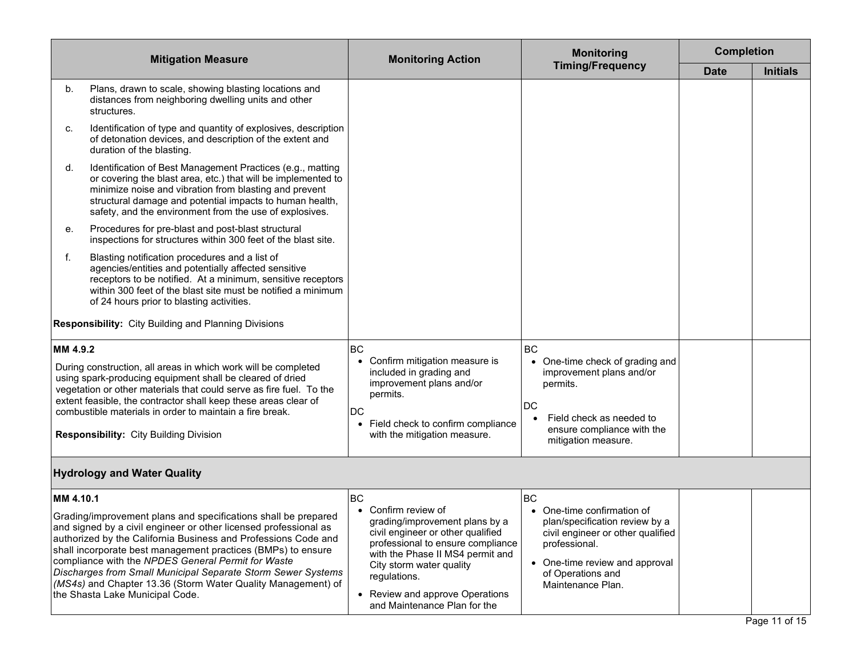| <b>Mitigation Measure</b>          |                                                                                                                                                                                                                                                                                                                                                                                                                                                                                               | <b>Monitoring Action</b>                                                                                                                                                                                                                                                           | <b>Monitoring</b>                                                                                                                                                                              | <b>Completion</b> |                 |
|------------------------------------|-----------------------------------------------------------------------------------------------------------------------------------------------------------------------------------------------------------------------------------------------------------------------------------------------------------------------------------------------------------------------------------------------------------------------------------------------------------------------------------------------|------------------------------------------------------------------------------------------------------------------------------------------------------------------------------------------------------------------------------------------------------------------------------------|------------------------------------------------------------------------------------------------------------------------------------------------------------------------------------------------|-------------------|-----------------|
|                                    |                                                                                                                                                                                                                                                                                                                                                                                                                                                                                               |                                                                                                                                                                                                                                                                                    | <b>Timing/Frequency</b>                                                                                                                                                                        | <b>Date</b>       | <b>Initials</b> |
| b.                                 | Plans, drawn to scale, showing blasting locations and<br>distances from neighboring dwelling units and other<br>structures.                                                                                                                                                                                                                                                                                                                                                                   |                                                                                                                                                                                                                                                                                    |                                                                                                                                                                                                |                   |                 |
| c.                                 | Identification of type and quantity of explosives, description<br>of detonation devices, and description of the extent and<br>duration of the blasting.                                                                                                                                                                                                                                                                                                                                       |                                                                                                                                                                                                                                                                                    |                                                                                                                                                                                                |                   |                 |
| d.                                 | Identification of Best Management Practices (e.g., matting<br>or covering the blast area, etc.) that will be implemented to<br>minimize noise and vibration from blasting and prevent<br>structural damage and potential impacts to human health,<br>safety, and the environment from the use of explosives.                                                                                                                                                                                  |                                                                                                                                                                                                                                                                                    |                                                                                                                                                                                                |                   |                 |
| е.                                 | Procedures for pre-blast and post-blast structural<br>inspections for structures within 300 feet of the blast site.                                                                                                                                                                                                                                                                                                                                                                           |                                                                                                                                                                                                                                                                                    |                                                                                                                                                                                                |                   |                 |
| f.                                 | Blasting notification procedures and a list of<br>agencies/entities and potentially affected sensitive<br>receptors to be notified. At a minimum, sensitive receptors<br>within 300 feet of the blast site must be notified a minimum<br>of 24 hours prior to blasting activities.                                                                                                                                                                                                            |                                                                                                                                                                                                                                                                                    |                                                                                                                                                                                                |                   |                 |
|                                    | <b>Responsibility:</b> City Building and Planning Divisions                                                                                                                                                                                                                                                                                                                                                                                                                                   |                                                                                                                                                                                                                                                                                    |                                                                                                                                                                                                |                   |                 |
| MM 4.9.2                           |                                                                                                                                                                                                                                                                                                                                                                                                                                                                                               | <b>BC</b>                                                                                                                                                                                                                                                                          | <b>BC</b>                                                                                                                                                                                      |                   |                 |
|                                    | During construction, all areas in which work will be completed<br>using spark-producing equipment shall be cleared of dried<br>vegetation or other materials that could serve as fire fuel. To the<br>extent feasible, the contractor shall keep these areas clear of<br>combustible materials in order to maintain a fire break.                                                                                                                                                             | Confirm mitigation measure is<br>included in grading and<br>improvement plans and/or<br>permits.<br>DC                                                                                                                                                                             | One-time check of grading and<br>improvement plans and/or<br>permits.<br>DC                                                                                                                    |                   |                 |
|                                    | <b>Responsibility: City Building Division</b>                                                                                                                                                                                                                                                                                                                                                                                                                                                 | • Field check to confirm compliance<br>with the mitigation measure.                                                                                                                                                                                                                | Field check as needed to<br>ensure compliance with the<br>mitigation measure.                                                                                                                  |                   |                 |
| <b>Hydrology and Water Quality</b> |                                                                                                                                                                                                                                                                                                                                                                                                                                                                                               |                                                                                                                                                                                                                                                                                    |                                                                                                                                                                                                |                   |                 |
| MM 4.10.1                          |                                                                                                                                                                                                                                                                                                                                                                                                                                                                                               | <b>BC</b>                                                                                                                                                                                                                                                                          | <b>BC</b>                                                                                                                                                                                      |                   |                 |
|                                    | Grading/improvement plans and specifications shall be prepared<br>and signed by a civil engineer or other licensed professional as<br>authorized by the California Business and Professions Code and<br>shall incorporate best management practices (BMPs) to ensure<br>compliance with the NPDES General Permit for Waste<br>Discharges from Small Municipal Separate Storm Sewer Systems<br>(MS4s) and Chapter 13.36 (Storm Water Quality Management) of<br>the Shasta Lake Municipal Code. | • Confirm review of<br>grading/improvement plans by a<br>civil engineer or other qualified<br>professional to ensure compliance<br>with the Phase II MS4 permit and<br>City storm water quality<br>regulations.<br>• Review and approve Operations<br>and Maintenance Plan for the | • One-time confirmation of<br>plan/specification review by a<br>civil engineer or other qualified<br>professional.<br>• One-time review and approval<br>of Operations and<br>Maintenance Plan. |                   |                 |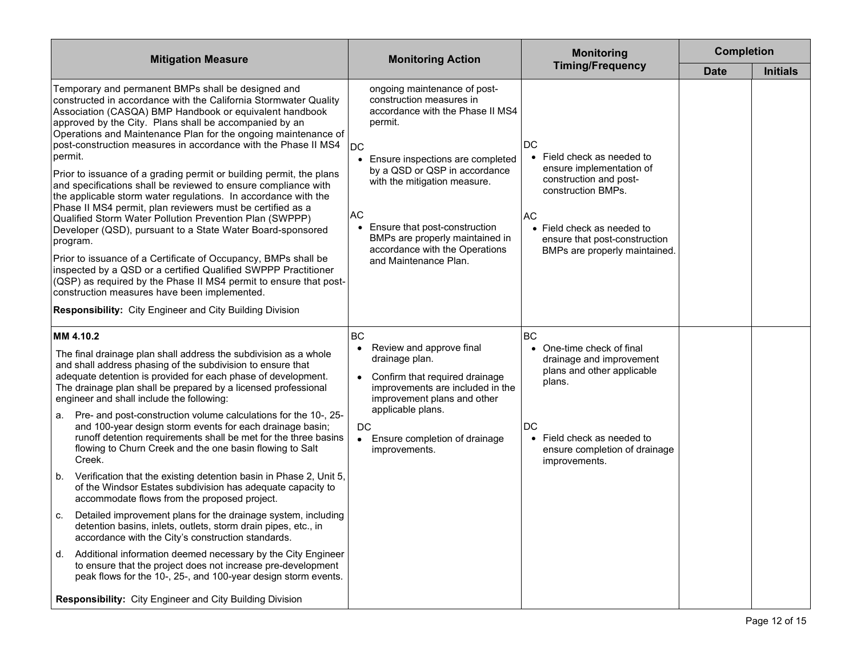| <b>Mitigation Measure</b>                                                                                                                                                                                                                                                                                                                                                                                                                                                                                                                                                                                                                                                                                                                                                                                                                                                                                                                                                                                                                                                                                                            | <b>Monitoring Action</b>                                                                                                                                                                                                                                                                                                                                                                 | <b>Monitoring</b>                                                                                                                                                                                                             | <b>Completion</b> |                 |
|--------------------------------------------------------------------------------------------------------------------------------------------------------------------------------------------------------------------------------------------------------------------------------------------------------------------------------------------------------------------------------------------------------------------------------------------------------------------------------------------------------------------------------------------------------------------------------------------------------------------------------------------------------------------------------------------------------------------------------------------------------------------------------------------------------------------------------------------------------------------------------------------------------------------------------------------------------------------------------------------------------------------------------------------------------------------------------------------------------------------------------------|------------------------------------------------------------------------------------------------------------------------------------------------------------------------------------------------------------------------------------------------------------------------------------------------------------------------------------------------------------------------------------------|-------------------------------------------------------------------------------------------------------------------------------------------------------------------------------------------------------------------------------|-------------------|-----------------|
|                                                                                                                                                                                                                                                                                                                                                                                                                                                                                                                                                                                                                                                                                                                                                                                                                                                                                                                                                                                                                                                                                                                                      |                                                                                                                                                                                                                                                                                                                                                                                          | <b>Timing/Frequency</b>                                                                                                                                                                                                       | <b>Date</b>       | <b>Initials</b> |
| Temporary and permanent BMPs shall be designed and<br>constructed in accordance with the California Stormwater Quality<br>Association (CASQA) BMP Handbook or equivalent handbook<br>approved by the City. Plans shall be accompanied by an<br>Operations and Maintenance Plan for the ongoing maintenance of<br>post-construction measures in accordance with the Phase II MS4<br>permit.<br>Prior to issuance of a grading permit or building permit, the plans<br>and specifications shall be reviewed to ensure compliance with<br>the applicable storm water regulations. In accordance with the<br>Phase II MS4 permit, plan reviewers must be certified as a<br>Qualified Storm Water Pollution Prevention Plan (SWPPP)<br>Developer (QSD), pursuant to a State Water Board-sponsored<br>program.<br>Prior to issuance of a Certificate of Occupancy, BMPs shall be<br>inspected by a QSD or a certified Qualified SWPPP Practitioner<br>(QSP) as required by the Phase II MS4 permit to ensure that post-<br>construction measures have been implemented.<br><b>Responsibility:</b> City Engineer and City Building Division | ongoing maintenance of post-<br>construction measures in<br>accordance with the Phase II MS4<br>permit.<br>DC<br>Ensure inspections are completed<br>$\bullet$<br>by a QSD or QSP in accordance<br>with the mitigation measure.<br><b>AC</b><br>Ensure that post-construction<br>$\bullet$<br>BMPs are properly maintained in<br>accordance with the Operations<br>and Maintenance Plan. | DC<br>Field check as needed to<br>$\bullet$<br>ensure implementation of<br>construction and post-<br>construction BMPs.<br>AC<br>• Field check as needed to<br>ensure that post-construction<br>BMPs are properly maintained. |                   |                 |
| MM 4.10.2                                                                                                                                                                                                                                                                                                                                                                                                                                                                                                                                                                                                                                                                                                                                                                                                                                                                                                                                                                                                                                                                                                                            | <b>BC</b><br>Review and approve final<br>$\bullet$                                                                                                                                                                                                                                                                                                                                       | <b>BC</b><br>• One-time check of final                                                                                                                                                                                        |                   |                 |
| The final drainage plan shall address the subdivision as a whole<br>and shall address phasing of the subdivision to ensure that<br>adequate detention is provided for each phase of development.<br>The drainage plan shall be prepared by a licensed professional<br>engineer and shall include the following:                                                                                                                                                                                                                                                                                                                                                                                                                                                                                                                                                                                                                                                                                                                                                                                                                      | drainage plan.<br>Confirm that required drainage<br>$\bullet$<br>improvements are included in the<br>improvement plans and other                                                                                                                                                                                                                                                         | drainage and improvement<br>plans and other applicable<br>plans.                                                                                                                                                              |                   |                 |
| Pre- and post-construction volume calculations for the 10-, 25-<br>а.<br>and 100-year design storm events for each drainage basin;<br>runoff detention requirements shall be met for the three basins<br>flowing to Churn Creek and the one basin flowing to Salt<br>Creek.                                                                                                                                                                                                                                                                                                                                                                                                                                                                                                                                                                                                                                                                                                                                                                                                                                                          | applicable plans.<br>DC<br>Ensure completion of drainage<br>$\bullet$<br>improvements.                                                                                                                                                                                                                                                                                                   | DC<br>Field check as needed to<br>$\bullet$<br>ensure completion of drainage<br>improvements.                                                                                                                                 |                   |                 |
| Verification that the existing detention basin in Phase 2, Unit 5,<br>b.<br>of the Windsor Estates subdivision has adequate capacity to<br>accommodate flows from the proposed project.                                                                                                                                                                                                                                                                                                                                                                                                                                                                                                                                                                                                                                                                                                                                                                                                                                                                                                                                              |                                                                                                                                                                                                                                                                                                                                                                                          |                                                                                                                                                                                                                               |                   |                 |
| Detailed improvement plans for the drainage system, including<br>C.<br>detention basins, inlets, outlets, storm drain pipes, etc., in<br>accordance with the City's construction standards.                                                                                                                                                                                                                                                                                                                                                                                                                                                                                                                                                                                                                                                                                                                                                                                                                                                                                                                                          |                                                                                                                                                                                                                                                                                                                                                                                          |                                                                                                                                                                                                                               |                   |                 |
| Additional information deemed necessary by the City Engineer<br>d.<br>to ensure that the project does not increase pre-development<br>peak flows for the 10-, 25-, and 100-year design storm events.                                                                                                                                                                                                                                                                                                                                                                                                                                                                                                                                                                                                                                                                                                                                                                                                                                                                                                                                 |                                                                                                                                                                                                                                                                                                                                                                                          |                                                                                                                                                                                                                               |                   |                 |
| <b>Responsibility:</b> City Engineer and City Building Division                                                                                                                                                                                                                                                                                                                                                                                                                                                                                                                                                                                                                                                                                                                                                                                                                                                                                                                                                                                                                                                                      |                                                                                                                                                                                                                                                                                                                                                                                          |                                                                                                                                                                                                                               |                   |                 |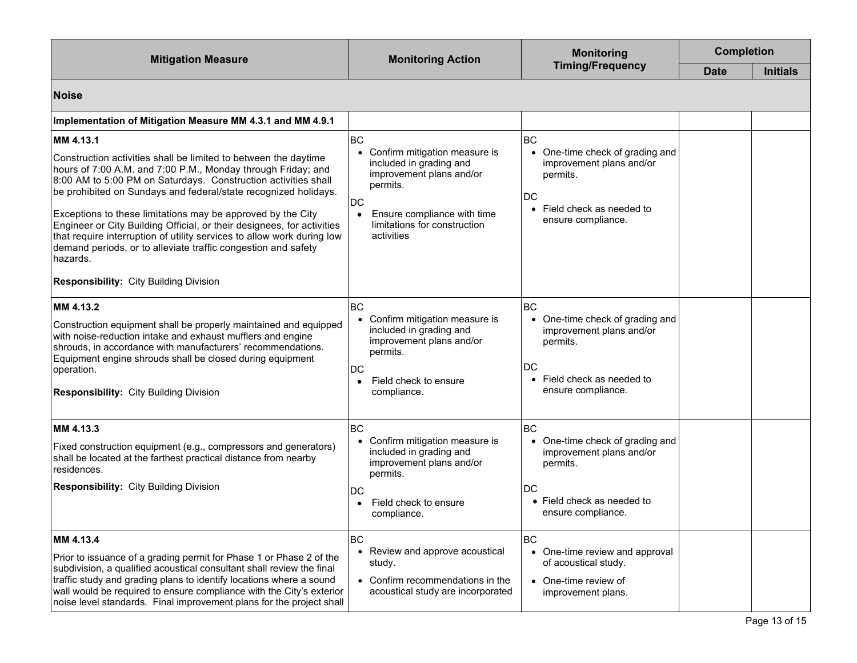| <b>Mitigation Measure</b>                                                                                                                                                                                                                                                                                                                                                                                                                                                                                                                                                                                                          | <b>Monitoring Action</b>                                                                                                                                                                                 | <b>Monitoring</b><br><b>Timing/Frequency</b>                                                                                                              | <b>Completion</b> |                 |
|------------------------------------------------------------------------------------------------------------------------------------------------------------------------------------------------------------------------------------------------------------------------------------------------------------------------------------------------------------------------------------------------------------------------------------------------------------------------------------------------------------------------------------------------------------------------------------------------------------------------------------|----------------------------------------------------------------------------------------------------------------------------------------------------------------------------------------------------------|-----------------------------------------------------------------------------------------------------------------------------------------------------------|-------------------|-----------------|
|                                                                                                                                                                                                                                                                                                                                                                                                                                                                                                                                                                                                                                    |                                                                                                                                                                                                          |                                                                                                                                                           | <b>Date</b>       | <b>Initials</b> |
| <b>Noise</b>                                                                                                                                                                                                                                                                                                                                                                                                                                                                                                                                                                                                                       |                                                                                                                                                                                                          |                                                                                                                                                           |                   |                 |
| Implementation of Mitigation Measure MM 4.3.1 and MM 4.9.1                                                                                                                                                                                                                                                                                                                                                                                                                                                                                                                                                                         |                                                                                                                                                                                                          |                                                                                                                                                           |                   |                 |
| MM 4.13.1<br>Construction activities shall be limited to between the daytime<br>hours of 7:00 A.M. and 7:00 P.M., Monday through Friday; and<br>8:00 AM to 5:00 PM on Saturdays. Construction activities shall<br>be prohibited on Sundays and federal/state recognized holidays.<br>Exceptions to these limitations may be approved by the City<br>Engineer or City Building Official, or their designees, for activities<br>that require interruption of utility services to allow work during low<br>demand periods, or to alleviate traffic congestion and safety<br>hazards.<br><b>Responsibility: City Building Division</b> | BC<br>• Confirm mitigation measure is<br>included in grading and<br>improvement plans and/or<br>permits.<br>DC<br>Ensure compliance with time<br>$\bullet$<br>limitations for construction<br>activities | <b>BC</b><br>One-time check of grading and<br>$\bullet$<br>improvement plans and/or<br>permits.<br>DC<br>Field check as needed to<br>ensure compliance.   |                   |                 |
| MM 4.13.2<br>Construction equipment shall be properly maintained and equipped<br>with noise-reduction intake and exhaust mufflers and engine<br>shrouds, in accordance with manufacturers' recommendations.<br>Equipment engine shrouds shall be closed during equipment<br>operation.<br>Responsibility: City Building Division                                                                                                                                                                                                                                                                                                   | BC<br>• Confirm mitigation measure is<br>included in grading and<br>improvement plans and/or<br>permits.<br>DC<br>Field check to ensure<br>compliance.                                                   | <b>BC</b><br>• One-time check of grading and<br>improvement plans and/or<br>permits.<br>DC<br>Field check as needed to<br>$\bullet$<br>ensure compliance. |                   |                 |
| MM 4.13.3<br>Fixed construction equipment (e.g., compressors and generators)<br>shall be located at the farthest practical distance from nearby<br>residences.<br><b>Responsibility: City Building Division</b>                                                                                                                                                                                                                                                                                                                                                                                                                    | BC<br>• Confirm mitigation measure is<br>included in grading and<br>improvement plans and/or<br>permits.<br>DC<br>Field check to ensure<br>compliance.                                                   | <b>BC</b><br>• One-time check of grading and<br>improvement plans and/or<br>permits.<br>DC<br>$\bullet$ Field check as needed to<br>ensure compliance.    |                   |                 |
| MM 4.13.4<br>Prior to issuance of a grading permit for Phase 1 or Phase 2 of the<br>subdivision, a qualified acoustical consultant shall review the final<br>traffic study and grading plans to identify locations where a sound<br>wall would be required to ensure compliance with the City's exterior<br>noise level standards. Final improvement plans for the project shall                                                                                                                                                                                                                                                   | <b>BC</b><br>• Review and approve acoustical<br>study.<br>• Confirm recommendations in the<br>acoustical study are incorporated                                                                          | <b>BC</b><br>• One-time review and approval<br>of acoustical study.<br>• One-time review of<br>improvement plans.                                         |                   |                 |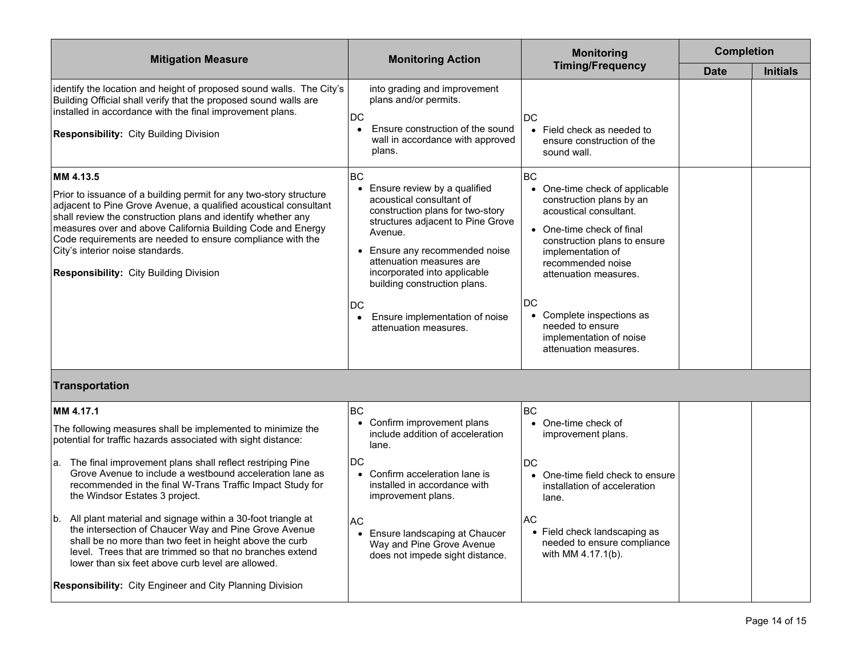| <b>Mitigation Measure</b>                                                                                                                                                                                                                                                                                                                                                                                                                                                                                                                                                                                                                                                                                                               | <b>Monitoring Action</b>                                                                                                                                                                                                                                                                                                                                                    | <b>Monitoring</b><br><b>Timing/Frequency</b>                                                                                                                                                                                                                                                                                             | <b>Completion</b> |                 |  |  |  |
|-----------------------------------------------------------------------------------------------------------------------------------------------------------------------------------------------------------------------------------------------------------------------------------------------------------------------------------------------------------------------------------------------------------------------------------------------------------------------------------------------------------------------------------------------------------------------------------------------------------------------------------------------------------------------------------------------------------------------------------------|-----------------------------------------------------------------------------------------------------------------------------------------------------------------------------------------------------------------------------------------------------------------------------------------------------------------------------------------------------------------------------|------------------------------------------------------------------------------------------------------------------------------------------------------------------------------------------------------------------------------------------------------------------------------------------------------------------------------------------|-------------------|-----------------|--|--|--|
|                                                                                                                                                                                                                                                                                                                                                                                                                                                                                                                                                                                                                                                                                                                                         |                                                                                                                                                                                                                                                                                                                                                                             |                                                                                                                                                                                                                                                                                                                                          | <b>Date</b>       | <b>Initials</b> |  |  |  |
| identify the location and height of proposed sound walls. The City's<br>Building Official shall verify that the proposed sound walls are<br>installed in accordance with the final improvement plans.<br><b>Responsibility: City Building Division</b>                                                                                                                                                                                                                                                                                                                                                                                                                                                                                  | into grading and improvement<br>plans and/or permits.<br>DC<br>Ensure construction of the sound<br>$\bullet$<br>wall in accordance with approved<br>plans.                                                                                                                                                                                                                  | DC<br>• Field check as needed to<br>ensure construction of the<br>sound wall.                                                                                                                                                                                                                                                            |                   |                 |  |  |  |
| MM 4.13.5<br>Prior to issuance of a building permit for any two-story structure<br>adjacent to Pine Grove Avenue, a qualified acoustical consultant<br>shall review the construction plans and identify whether any<br>measures over and above California Building Code and Energy<br>Code requirements are needed to ensure compliance with the<br>City's interior noise standards.<br>Responsibility: City Building Division                                                                                                                                                                                                                                                                                                          | BC<br>Ensure review by a qualified<br>$\bullet$<br>acoustical consultant of<br>construction plans for two-story<br>structures adjacent to Pine Grove<br>Avenue.<br>• Ensure any recommended noise<br>attenuation measures are<br>incorporated into applicable<br>building construction plans.<br>DC<br>Ensure implementation of noise<br>$\bullet$<br>attenuation measures. | <b>BC</b><br>One-time check of applicable<br>construction plans by an<br>acoustical consultant.<br>• One-time check of final<br>construction plans to ensure<br>implementation of<br>recommended noise<br>attenuation measures.<br>DC<br>Complete inspections as<br>needed to ensure<br>implementation of noise<br>attenuation measures. |                   |                 |  |  |  |
| <b>Transportation</b>                                                                                                                                                                                                                                                                                                                                                                                                                                                                                                                                                                                                                                                                                                                   |                                                                                                                                                                                                                                                                                                                                                                             |                                                                                                                                                                                                                                                                                                                                          |                   |                 |  |  |  |
| MM 4.17.1<br>The following measures shall be implemented to minimize the<br>potential for traffic hazards associated with sight distance:<br>a. The final improvement plans shall reflect restriping Pine<br>Grove Avenue to include a westbound acceleration lane as<br>recommended in the final W-Trans Traffic Impact Study for<br>the Windsor Estates 3 project.<br>b. All plant material and signage within a 30-foot triangle at<br>the intersection of Chaucer Way and Pine Grove Avenue<br>shall be no more than two feet in height above the curb<br>level. Trees that are trimmed so that no branches extend<br>lower than six feet above curb level are allowed.<br>Responsibility: City Engineer and City Planning Division | <b>BC</b><br>• Confirm improvement plans<br>include addition of acceleration<br>lane.<br><b>DC</b><br>• Confirm acceleration lane is<br>installed in accordance with<br>improvement plans.<br>AC.<br>• Ensure landscaping at Chaucer<br>Way and Pine Grove Avenue<br>does not impede sight distance.                                                                        | <b>BC</b><br>• One-time check of<br>improvement plans.<br>DC<br>• One-time field check to ensure<br>installation of acceleration<br>lane.<br>AC<br>• Field check landscaping as<br>needed to ensure compliance<br>with MM 4.17.1(b).                                                                                                     |                   |                 |  |  |  |